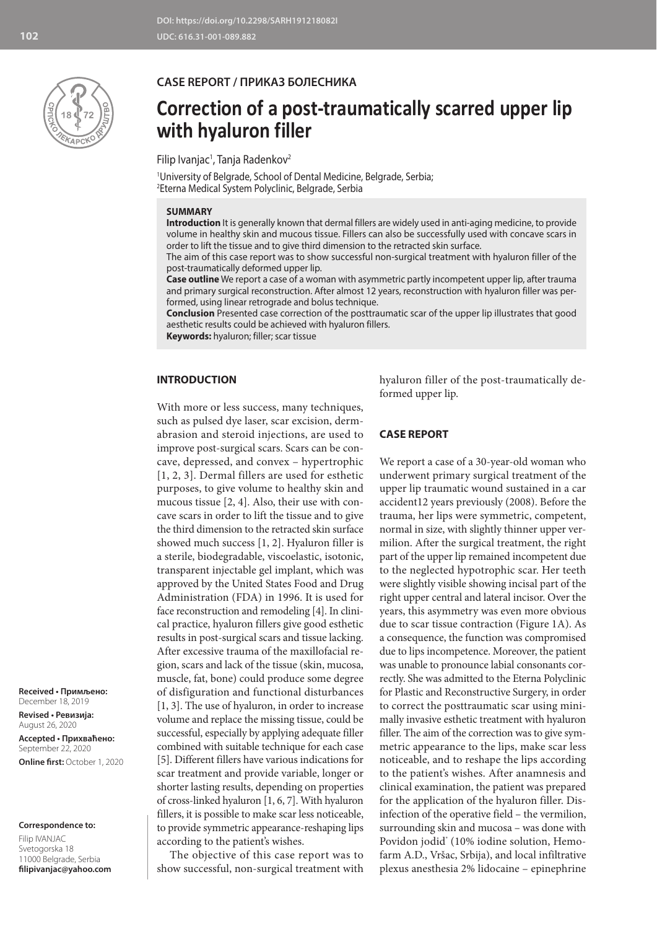

**CASE REPORT / ПРИКАЗ БОЛЕСНИКА**

# **Correction of a post-traumatically scarred upper lip with hyaluron filler**

Filip Ivanjac<sup>1</sup>, Tanja Radenkov<sup>2</sup>

1 University of Belgrade, School of Dental Medicine, Belgrade, Serbia; 2 Eterna Medical System Polyclinic, Belgrade, Serbia

#### **SUMMARY**

**Introduction** It is generally known that dermal fillers are widely used in anti-aging medicine, to provide volume in healthy skin and mucous tissue. Fillers can also be successfully used with concave scars in order to lift the tissue and to give third dimension to the retracted skin surface.

The aim of this case report was to show successful non-surgical treatment with hyaluron filler of the post-traumatically deformed upper lip.

**Case outline** We report a case of a woman with asymmetric partly incompetent upper lip, after trauma and primary surgical reconstruction. After almost 12 years, reconstruction with hyaluron filler was performed, using linear retrograde and bolus technique.

**Conclusion** Presented case correction of the posttraumatic scar of the upper lip illustrates that good aesthetic results could be achieved with hyaluron fillers.

**Keywords:** hyaluron; filler; scar tissue

### **INTRODUCTION**

With more or less success, many techniques, such as pulsed dye laser, scar excision, dermabrasion and steroid injections, are used to improve post-surgical scars. Scars can be concave, depressed, and convex – hypertrophic [1, 2, 3]. Dermal fillers are used for esthetic purposes, to give volume to healthy skin and mucous tissue [2, 4]. Also, their use with concave scars in order to lift the tissue and to give the third dimension to the retracted skin surface showed much success [1, 2]. Hyaluron filler is a sterile, biodegradable, viscoelastic, isotonic, transparent injectable gel implant, which was approved by the United States Food and Drug Administration (FDA) in 1996. It is used for face reconstruction and remodeling [4]. In clinical practice, hyaluron fillers give good esthetic results in post-surgical scars and tissue lacking. After excessive trauma of the maxillofacial region, scars and lack of the tissue (skin, mucosa, muscle, fat, bone) could produce some degree of disfiguration and functional disturbances [1, 3]. The use of hyaluron, in order to increase volume and replace the missing tissue, could be successful, especially by applying adequate filler combined with suitable technique for each case [5]. Different fillers have various indications for scar treatment and provide variable, longer or shorter lasting results, depending on properties of cross-linked hyaluron [1, 6, 7]. With hyaluron fillers, it is possible to make scar less noticeable, to provide symmetric appearance-reshaping lips according to the patient's wishes.

The objective of this case report was to show successful, non-surgical treatment with hyaluron filler of the post-traumatically deformed upper lip.

# **CASE REPORT**

We report a case of a 30-year-old woman who underwent primary surgical treatment of the upper lip traumatic wound sustained in a car accident12 years previously (2008). Before the trauma, her lips were symmetric, competent, normal in size, with slightly thinner upper vermilion. After the surgical treatment, the right part of the upper lip remained incompetent due to the neglected hypotrophic scar. Her teeth were slightly visible showing incisal part of the right upper central and lateral incisor. Over the years, this asymmetry was even more obvious due to scar tissue contraction (Figure 1A). As a consequence, the function was compromised due to lips incompetence. Moreover, the patient was unable to pronounce labial consonants correctly. She was admitted to the Eterna Polyclinic for Plastic and Reconstructive Surgery, in order to correct the posttraumatic scar using minimally invasive esthetic treatment with hyaluron filler. The aim of the correction was to give symmetric appearance to the lips, make scar less noticeable, and to reshape the lips according to the patient's wishes. After anamnesis and clinical examination, the patient was prepared for the application of the hyaluron filler. Disinfection of the operative field – the vermilion, surrounding skin and mucosa – was done with Povidon jodid<sup>®</sup> (10% iodine solution, Hemofarm A.D., Vršac, Srbija), and local infiltrative plexus anesthesia 2% lidocaine – epinephrine

**Received • Примљено:**  December 18, 2019

**Revised • Ревизија:**  August 26, 2020 **Accepted • Прихваћено:** September 22, 2020 **Online first:** October 1, 2020

#### **Correspondence to:**

Filip IVANJAC Svetogorska 18 11000 Belgrade, Serbia **filipivanjac@yahoo.com**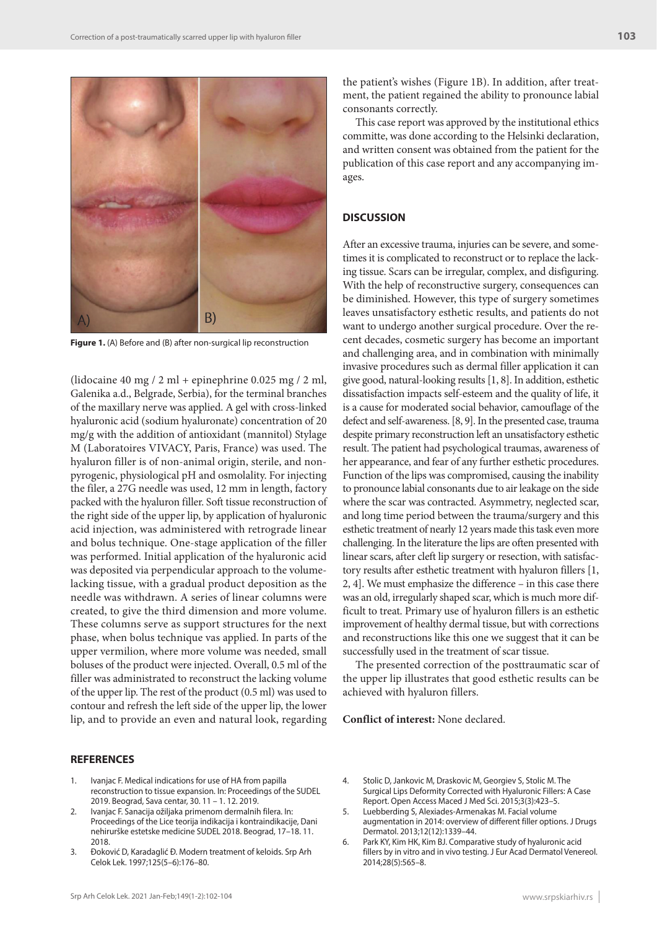

**Figure 1.** (A) Before and (B) after non-surgical lip reconstruction

(lidocaine 40 mg / 2 ml + epinephrine 0.025 mg / 2 ml, Galenika a.d., Belgrade, Serbia), for the terminal branches of the maxillary nerve was applied. A gel with cross-linked hyaluronic acid (sodium hyaluronate) concentration of 20 mg/g with the addition of antioxidant (mannitol) Stylage M (Laboratoires VIVACY, Paris, France) was used. The hyaluron filler is of non-animal origin, sterile, and nonpyrogenic, physiological pH and osmolality. For injecting the filer, a 27G needle was used, 12 mm in length, factory packed with the hyaluron filler. Soft tissue reconstruction of the right side of the upper lip, by application of hyaluronic acid injection, was administered with retrograde linear and bolus technique. One-stage application of the filler was performed. Initial application of the hyaluronic acid was deposited via perpendicular approach to the volumelacking tissue, with a gradual product deposition as the needle was withdrawn. A series of linear columns were created, to give the third dimension and more volume. These columns serve as support structures for the next phase, when bolus technique vas applied. In parts of the upper vermilion, where more volume was needed, small boluses of the product were injected. Overall, 0.5 ml of the filler was administrated to reconstruct the lacking volume of the upper lip. The rest of the product (0.5 ml) was used to contour and refresh the left side of the upper lip, the lower lip, and to provide an even and natural look, regarding the patient's wishes (Figure 1B). In addition, after treatment, the patient regained the ability to pronounce labial consonants correctly.

This case report was approved by the institutional ethics committe, was done according to the Helsinki declaration, and written consent was obtained from the patient for the publication of this case report and any accompanying images.

## **DISCUSSION**

After an excessive trauma, injuries can be severe, and sometimes it is complicated to reconstruct or to replace the lacking tissue. Scars can be irregular, complex, and disfiguring. With the help of reconstructive surgery, consequences can be diminished. However, this type of surgery sometimes leaves unsatisfactory esthetic results, and patients do not want to undergo another surgical procedure. Over the recent decades, cosmetic surgery has become an important and challenging area, and in combination with minimally invasive procedures such as dermal filler application it can give good, natural-looking results [1, 8]. In addition, esthetic dissatisfaction impacts self-esteem and the quality of life, it is a cause for moderated social behavior, camouflage of the defect and self-awareness. [8, 9]. In the presented case, trauma despite primary reconstruction left an unsatisfactory esthetic result. The patient had psychological traumas, awareness of her appearance, and fear of any further esthetic procedures. Function of the lips was compromised, causing the inability to pronounce labial consonants due to air leakage on the side where the scar was contracted. Asymmetry, neglected scar, and long time period between the trauma/surgery and this esthetic treatment of nearly 12 years made this task even more challenging. In the literature the lips are often presented with linear scars, after cleft lip surgery or resection, with satisfactory results after esthetic treatment with hyaluron fillers [1, 2, 4]. We must emphasize the difference – in this case there was an old, irregularly shaped scar, which is much more difficult to treat. Primary use of hyaluron fillers is an esthetic improvement of healthy dermal tissue, but with corrections and reconstructions like this one we suggest that it can be successfully used in the treatment of scar tissue.

The presented correction of the posttraumatic scar of the upper lip illustrates that good esthetic results can be achieved with hyaluron fillers.

# **Conflict of interest:** None declared.

#### **REFERENCES**

- 1. Ivanjac F. Medical indications for use of HA from papilla reconstruction to tissue expansion. In: Proceedings of the SUDEL 2019. Beograd, Sava centar, 30. 11 – 1. 12. 2019.
- 2. Ivanjac F. Sanacija ožiljaka primenom dermalnih filera. In: Proceedings of the Lice teorija indikacija i kontraindikacije, Dani nehirurške estetske medicine SUDEL 2018. Beograd, 17–18. 11. 2018.
- 3. Đoković D, Karadaglić Đ. Modern treatment of keloids. Srp Arh Celok Lek. 1997;125(5–6):176–80.
- 4. Stolic D, Jankovic M, Draskovic M, Georgiev S, Stolic M. The Surgical Lips Deformity Corrected with Hyaluronic Fillers: A Case Report. Open Access Maced J Med Sci. 2015;3(3):423–5.
- 5. Luebberding S, Alexiades-Armenakas M. Facial volume augmentation in 2014: overview of different filler options. J Drugs Dermatol. 2013;12(12):1339–44.
- 6. Park KY, Kim HK, Kim BJ. Comparative study of hyaluronic acid fillers by in vitro and in vivo testing. J Eur Acad Dermatol Venereol. 2014;28(5):565–8.